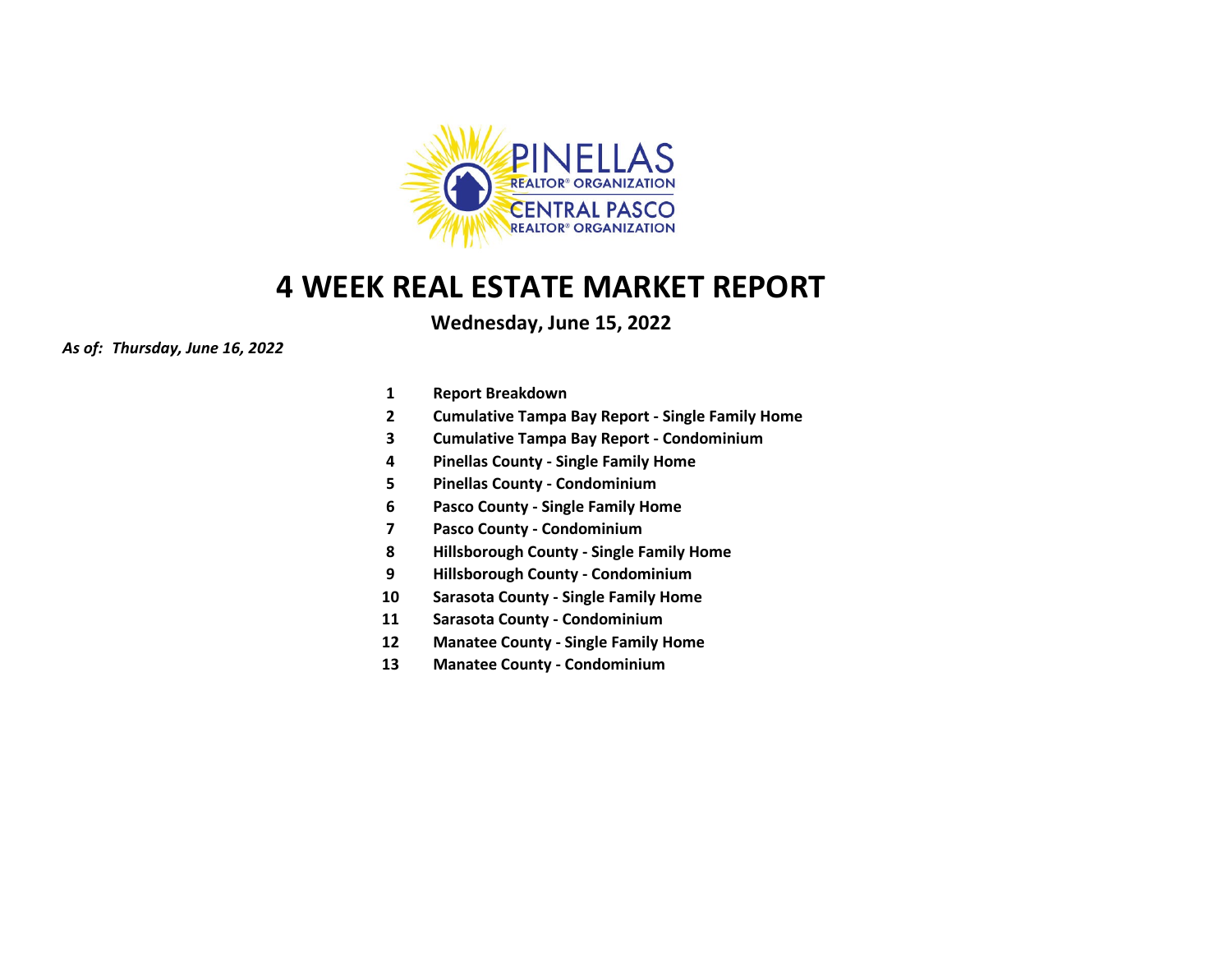

**Wednesday, June 15, 2022**

*As of: Thursday, June 16, 2022*

- **1 Report Breakdown**
- **2 Cumulative Tampa Bay Report - Single Family Home**
- **3 Cumulative Tampa Bay Report - Condominium**
- **4 Pinellas County - Single Family Home**
- **5 Pinellas County - Condominium**
- **6 Pasco County - Single Family Home**
- **7 Pasco County - Condominium**
- **8 Hillsborough County - Single Family Home**
- **9 Hillsborough County - Condominium**
- **10 Sarasota County - Single Family Home**
- **11 Sarasota County - Condominium**
- **12 Manatee County - Single Family Home**
- **13 Manatee County - Condominium**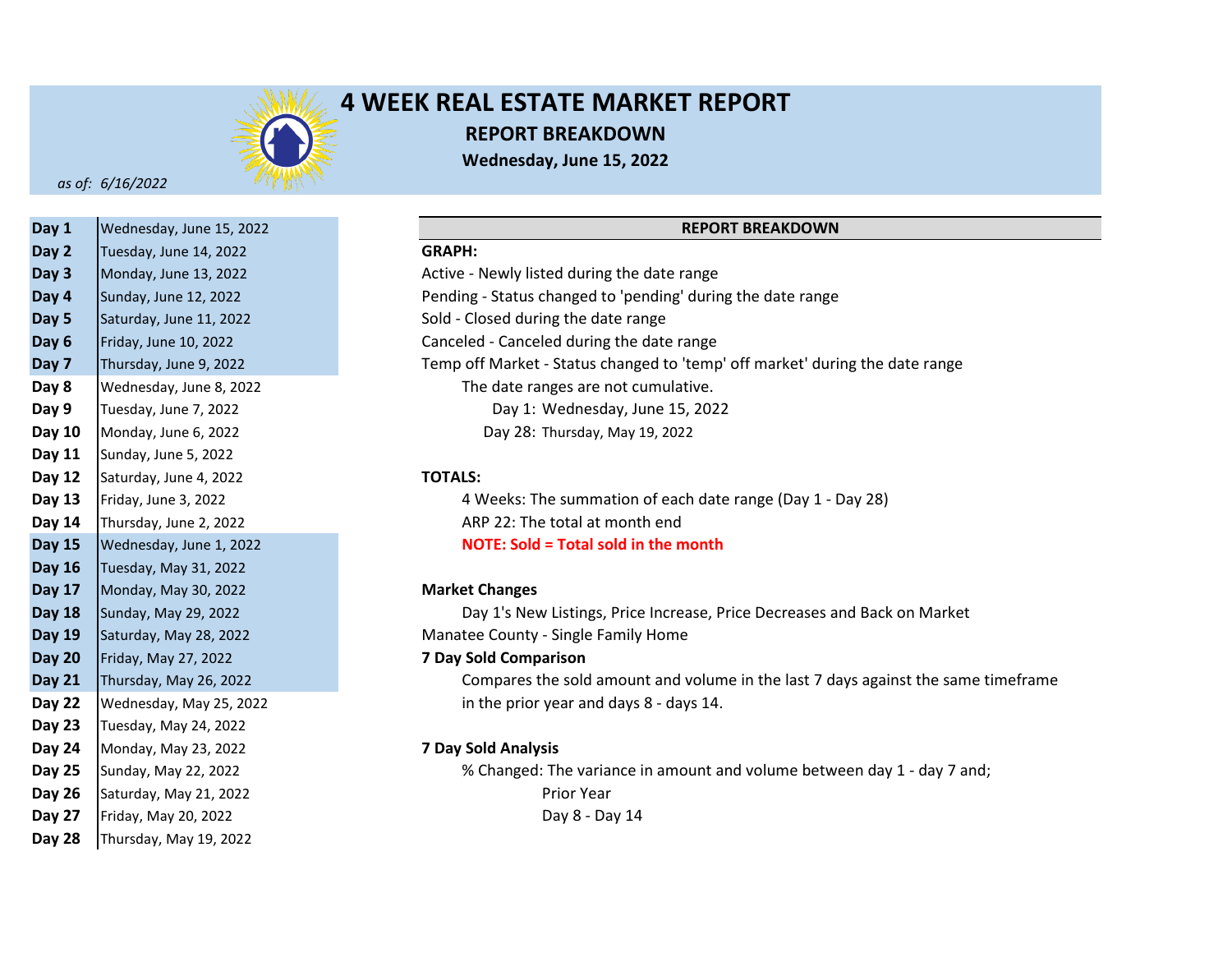

# **4 WEEK REAL ESTATE MARKET REPORT REPORT BREAKDOWN Wednesday, June 15, 2022**

*as of: 6/16/2022*

| Day 1         | Wednesday, June 15, 2022 |                              |
|---------------|--------------------------|------------------------------|
| Day 2         | Tuesday, June 14, 2022   | <b>GRAPH:</b>                |
| Day 3         | Monday, June 13, 2022    | Active - Newly listed during |
| Day 4         | Sunday, June 12, 2022    | Pending - Status changed to  |
| Day 5         | Saturday, June 11, 2022  | Sold - Closed during the dat |
| Day 6         | Friday, June 10, 2022    | Canceled - Canceled during   |
| Day 7         | Thursday, June 9, 2022   | Temp off Market - Status cl  |
| Day 8         | Wednesday, June 8, 2022  | The date ranges are n        |
| Day 9         | Tuesday, June 7, 2022    | Day 1: Wednesda              |
| Day 10        | Monday, June 6, 2022     | Day 28: Thursday, I          |
| Day 11        | Sunday, June 5, 2022     |                              |
| Day 12        | Saturday, June 4, 2022   | <b>TOTALS:</b>               |
| Day 13        | Friday, June 3, 2022     | 4 Weeks: The summa           |
| Day 14        | Thursday, June 2, 2022   | ARP 22: The total at n       |
| <b>Day 15</b> | Wednesday, June 1, 2022  | <b>NOTE: Sold = Total so</b> |
| <b>Day 16</b> | Tuesday, May 31, 2022    |                              |
| <b>Day 17</b> | Monday, May 30, 2022     | <b>Market Changes</b>        |
| <b>Day 18</b> | Sunday, May 29, 2022     | Day 1's New Listings,        |
| <b>Day 19</b> | Saturday, May 28, 2022   | Manatee County - Single Fa   |
| <b>Day 20</b> | Friday, May 27, 2022     | <b>7 Day Sold Comparison</b> |
| <b>Day 21</b> | Thursday, May 26, 2022   | Compares the sold an         |
| <b>Day 22</b> | Wednesday, May 25, 2022  | in the prior year and        |
| <b>Day 23</b> | Tuesday, May 24, 2022    |                              |
| Day 24        | Monday, May 23, 2022     | <b>7 Day Sold Analysis</b>   |
| Day 25        | Sunday, May 22, 2022     | % Changed: The varia         |
| <b>Day 26</b> | Saturday, May 21, 2022   | Prior Year                   |
| Day 27        | Friday, May 20, 2022     | Day 8 - Da                   |
| Day 28        | Thursday, May 19, 2022   |                              |

## **REPORT BREAKDOWN**

### **Day 2 GRAPH:**

**Day 3** Active - Newly listed during the date range **Day 4** Pending - Status changed to 'pending' during the date range Sold - Closed during the date range Canceled - Canceled during the date range **Day 7** Temp off Market - Status changed to 'temp' off market' during the date range The date ranges are not cumulative. Day 1: Wednesday, June 15, 2022 Day 28: Thursday, May 19, 2022

### **Day 12 TOTALS:**

**Day 13** 4 Weeks: The summation of each date range (Day 1 - Day 28) **Day 14** ARP 22: The total at month end **Day 15 NOTE: Sold = Total sold in the month**

### **Day 17 Market Changes**

Day 1's New Listings, Price Increase, Price Decreases and Back on Market **Day 19** Manatee County - Single Family Home

## **Day 20 7 Day Sold Comparison**

**Day 21** Compares the sold amount and volume in the last 7 days against the same timeframe **Day 22** in the prior year and days 8 - days 14.

## **Day 24 7 Day Sold Analysis**

**Day 25** % Changed: The variance in amount and volume between day 1 - day 7 and; Day 8 - Day 14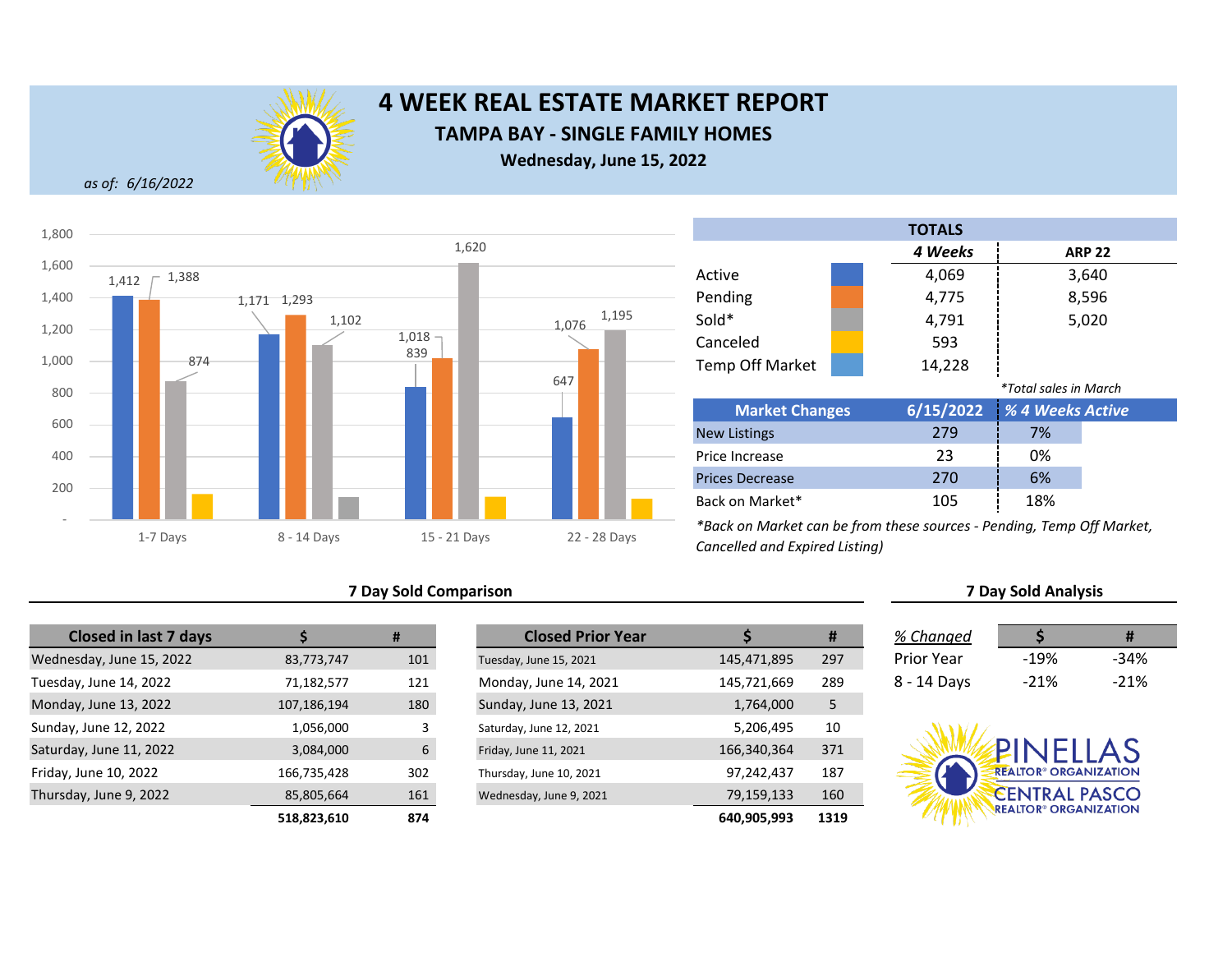

# **4 WEEK REAL ESTATE MARKET REPORT TAMPA BAY - SINGLE FAMILY HOMES**

**Wednesday, June 15, 2022**

*as of: 6/16/2022*



## **7 Day Sold Comparison**

| <b>Closed in last 7 days</b> |             | #   | <b>Closed Prior Year</b> |  |
|------------------------------|-------------|-----|--------------------------|--|
| Wednesday, June 15, 2022     | 83,773,747  | 101 | Tuesday, June 15, 2021   |  |
| Tuesday, June 14, 2022       | 71,182,577  | 121 | Monday, June 14, 2021    |  |
| Monday, June 13, 2022        | 107,186,194 | 180 | Sunday, June 13, 2021    |  |
| Sunday, June 12, 2022        | 1,056,000   | 3   | Saturday, June 12, 2021  |  |
| Saturday, June 11, 2022      | 3,084,000   | 6   | Friday, June 11, 2021    |  |
| Friday, June 10, 2022        | 166,735,428 | 302 | Thursday, June 10, 2021  |  |
| Thursday, June 9, 2022       | 85,805,664  | 161 | Wednesday, June 9, 2021  |  |
|                              | 518823610   | 874 |                          |  |

| <b>Closed in last 7 days</b> |             | #   | <b>Closed Prior Year</b> |             | #    | % Changed         |                                         | #      |
|------------------------------|-------------|-----|--------------------------|-------------|------|-------------------|-----------------------------------------|--------|
| esday, June 15, 2022         | 83,773,747  | 101 | Tuesday, June 15, 2021   | 145,471,895 | 297  | <b>Prior Year</b> | $-19%$                                  | $-34%$ |
| ay, June 14, 2022            | 71,182,577  | 121 | Monday, June 14, 2021    | 145,721,669 | 289  | 8 - 14 Days       | $-21%$                                  | $-21%$ |
| ay, June 13, 2022            | 107,186,194 | 180 | Sunday, June 13, 2021    | 1,764,000   |      |                   |                                         |        |
| y, June 12, 2022             | 1,056,000   |     | Saturday, June 12, 2021  | 5,206,495   | 10   |                   |                                         |        |
| lay, June 11, 2022           | 3,084,000   | 6   | Friday, June 11, 2021    | 166,340,364 | 371  |                   | PINELLAS                                |        |
| , June 10, 2022              | 166,735,428 | 302 | Thursday, June 10, 2021  | 97,242,437  | 187  |                   | <b>REALTOR® ORGANIZATION</b>            |        |
| day, June 9, 2022            | 85,805,664  | 161 | Wednesday, June 9, 2021  | 79,159,133  | 160  |                   | <b>CENTRAL PASCO</b>                    |        |
|                              | 518,823,610 | 874 |                          | 640,905,993 | 1319 |                   | <b>REALTOR<sup>®</sup> ORGANIZATION</b> |        |

Back on Market\*

|                        | <b>TOTALS</b> |                              |               |
|------------------------|---------------|------------------------------|---------------|
|                        | 4 Weeks       |                              | <b>ARP 22</b> |
| Active                 | 4,069         |                              | 3,640         |
| Pending                | 4,775         |                              | 8,596         |
| Sold*                  | 4,791         |                              | 5,020         |
| Canceled               | 593           |                              |               |
| <b>Temp Off Market</b> | 14,228        |                              |               |
|                        |               | <i>*Total sales in March</i> |               |
| <b>Market Changes</b>  | 6/15/2022     | % 4 Weeks Active             |               |
| <b>New Listings</b>    | 279           | 7%                           |               |
| Price Increase         | 23            | 0%                           |               |
| <b>Prices Decrease</b> | 270           | 6%                           |               |

*\*Back on Market can be from these sources - Pending, Temp Off Market, Cancelled and Expired Listing)*

| % Changed   |        | Ħ      |
|-------------|--------|--------|
| Prior Year  | $-19%$ | $-34%$ |
| 8 - 14 Days | $-21%$ | $-21%$ |

**7 Day Sold Analysis**

105 18%

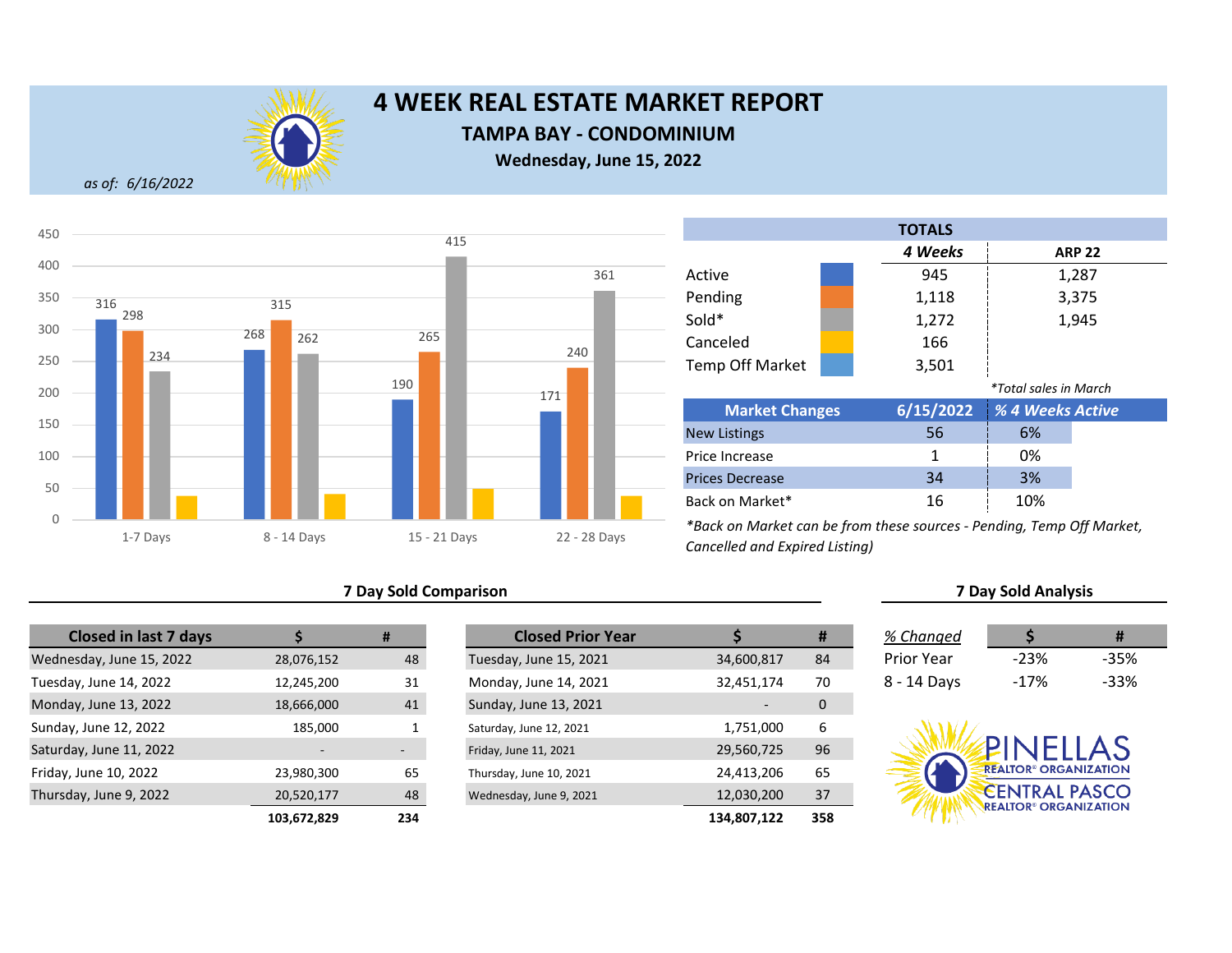

## **TAMPA BAY - CONDOMINIUM**

**Wednesday, June 15, 2022**

*as of: 6/16/2022*



## **7 Day Sold Comparison 7 Day Sold Analysis**

| <b>Closed in last 7 days</b> |             | #   | <b>Closed Prior Year</b> |             |
|------------------------------|-------------|-----|--------------------------|-------------|
| Wednesday, June 15, 2022     | 28,076,152  | 48  | Tuesday, June 15, 2021   | 34,600,817  |
| Tuesday, June 14, 2022       | 12,245,200  | 31  | Monday, June 14, 2021    | 32,451,174  |
| Monday, June 13, 2022        | 18,666,000  | 41  | Sunday, June 13, 2021    |             |
| Sunday, June 12, 2022        | 185,000     | Ŧ.  | Saturday, June 12, 2021  | 1,751,000   |
| Saturday, June 11, 2022      |             | -   | Friday, June 11, 2021    | 29,560,725  |
| Friday, June 10, 2022        | 23,980,300  | 65  | Thursday, June 10, 2021  | 24,413,206  |
| Thursday, June 9, 2022       | 20,520,177  | 48  | Wednesday, June 9, 2021  | 12,030,200  |
|                              | 103,672,829 | 234 |                          | 134,807,122 |

|             | #                        | <b>Closed Prior Year</b> |             | #   | % Changed         |                                         | #      |
|-------------|--------------------------|--------------------------|-------------|-----|-------------------|-----------------------------------------|--------|
| 28,076,152  | 48                       | Tuesday, June 15, 2021   | 34,600,817  | 84  | <b>Prior Year</b> | $-23%$                                  | $-35%$ |
| 12,245,200  | 31                       | Monday, June 14, 2021    | 32,451,174  | 70  | 8 - 14 Days       | $-17%$                                  | $-33%$ |
| 18,666,000  | 41                       | Sunday, June 13, 2021    |             | 0   |                   |                                         |        |
| 185,000     |                          | Saturday, June 12, 2021  | 1,751,000   | 6   |                   |                                         |        |
|             | $\overline{\phantom{a}}$ | Friday, June 11, 2021    | 29,560,725  | 96  |                   | PINELLAS                                |        |
| 23,980,300  | 65                       | Thursday, June 10, 2021  | 24,413,206  | 65  |                   | <b>REALTOR® ORGANIZATION</b>            |        |
| 20,520,177  | 48                       | Wednesday, June 9, 2021  | 12,030,200  | 37  |                   | <b>CENTRAL PASCO</b>                    |        |
| 103,672,829 | 234                      |                          | 134,807,122 | 358 |                   | <b>REALTOR<sup>®</sup> ORGANIZATION</b> |        |

|                        |  | <b>TOTALS</b> |                              |               |
|------------------------|--|---------------|------------------------------|---------------|
|                        |  | 4 Weeks       |                              | <b>ARP 22</b> |
| Active                 |  | 945           |                              | 1,287         |
| Pending                |  | 1,118         |                              | 3,375         |
| Sold*                  |  | 1,272         |                              | 1,945         |
| Canceled               |  | 166           |                              |               |
| <b>Temp Off Market</b> |  | 3,501         |                              |               |
|                        |  |               | <i>*Total sales in March</i> |               |
| <b>Market Changes</b>  |  | 6/15/2022     | % 4 Weeks Active             |               |
| <b>New Listings</b>    |  | 56            | 6%                           |               |
| Price Increase         |  | 1             | 0%                           |               |
| <b>Prices Decrease</b> |  | 34            | 3%                           |               |
| Back on Market*        |  | 16            | 10%                          |               |

| % Changed   |        | #    |
|-------------|--------|------|
| Prior Year  | $-23%$ | -35% |
| 8 - 14 Days | -17%   | -33% |

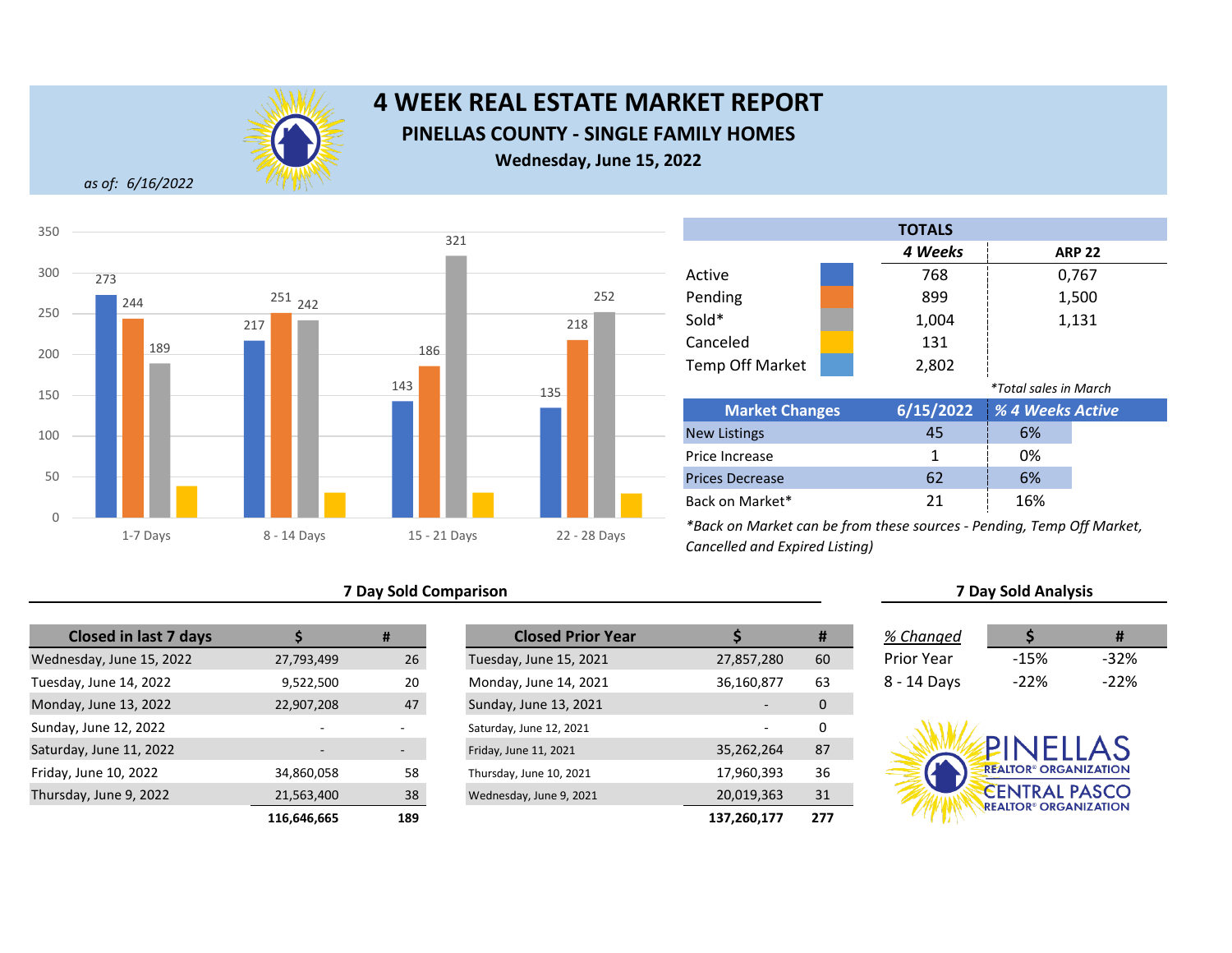

# **4 WEEK REAL ESTATE MARKET REPORT PINELLAS COUNTY - SINGLE FAMILY HOMES Wednesday, June 15, 2022**

*as of: 6/16/2022*



## **7 Day Sold Comparison**

| <b>Closed in last 7 days</b> |             | #   |
|------------------------------|-------------|-----|
| Wednesday, June 15, 2022     | 27,793,499  | 26  |
| Tuesday, June 14, 2022       | 9,522,500   | 20  |
| Monday, June 13, 2022        | 22,907,208  | 47  |
| Sunday, June 12, 2022        |             |     |
| Saturday, June 11, 2022      |             |     |
| Friday, June 10, 2022        | 34,860,058  | 58  |
| Thursday, June 9, 2022       | 21,563,400  | 38  |
|                              | 116,646,665 | 189 |

|             | #                        | <b>Closed Prior Year</b> |             | #   | % Changed         |                                         | #      |
|-------------|--------------------------|--------------------------|-------------|-----|-------------------|-----------------------------------------|--------|
| 27,793,499  | 26                       | Tuesday, June 15, 2021   | 27,857,280  | 60  | <b>Prior Year</b> | $-15%$                                  | $-32%$ |
| 9,522,500   | 20                       | Monday, June 14, 2021    | 36,160,877  | 63  | 8 - 14 Days       | $-22%$                                  | $-22%$ |
| 22,907,208  | 47                       | Sunday, June 13, 2021    |             | 0   |                   |                                         |        |
|             |                          | Saturday, June 12, 2021  |             | 0   |                   |                                         |        |
|             | $\overline{\phantom{a}}$ | Friday, June 11, 2021    | 35,262,264  | 87  |                   | PINELLAS                                |        |
| 34,860,058  | 58                       | Thursday, June 10, 2021  | 17,960,393  | 36  |                   | <b>REALTOR® ORGANIZATION</b>            |        |
| 21,563,400  | 38                       | Wednesday, June 9, 2021  | 20,019,363  | 31  |                   | <b>CENTRAL PASCO</b>                    |        |
| 116,646,665 | 189                      |                          | 137,260,177 | 277 |                   | <b>REALTOR<sup>®</sup> ORGANIZATION</b> |        |

|                        |  | <b>TOTALS</b> |                              |               |
|------------------------|--|---------------|------------------------------|---------------|
|                        |  | 4 Weeks       |                              | <b>ARP 22</b> |
| Active                 |  | 768           |                              | 0,767         |
| Pending                |  | 899           |                              | 1,500         |
| Sold*                  |  | 1,004         |                              | 1,131         |
| Canceled               |  | 131           |                              |               |
| <b>Temp Off Market</b> |  | 2,802         |                              |               |
|                        |  |               | <i>*Total sales in March</i> |               |
| <b>Market Changes</b>  |  | 6/15/2022     | % 4 Weeks Active             |               |
| <b>New Listings</b>    |  | 45            | 6%                           |               |
| Price Increase         |  | 1             | 0%                           |               |
| <b>Prices Decrease</b> |  | 62            | 6%                           |               |
| Back on Market*        |  | 21            | 16%                          |               |

*\*Back on Market can be from these sources - Pending, Temp Off Market, Cancelled and Expired Listing)*

| % Changed   |         | Ħ       |
|-------------|---------|---------|
| Prior Year  | $-1.5%$ | -32%    |
| 8 - 14 Days | $-22\%$ | $-22\%$ |

**7 Day Sold Analysis**

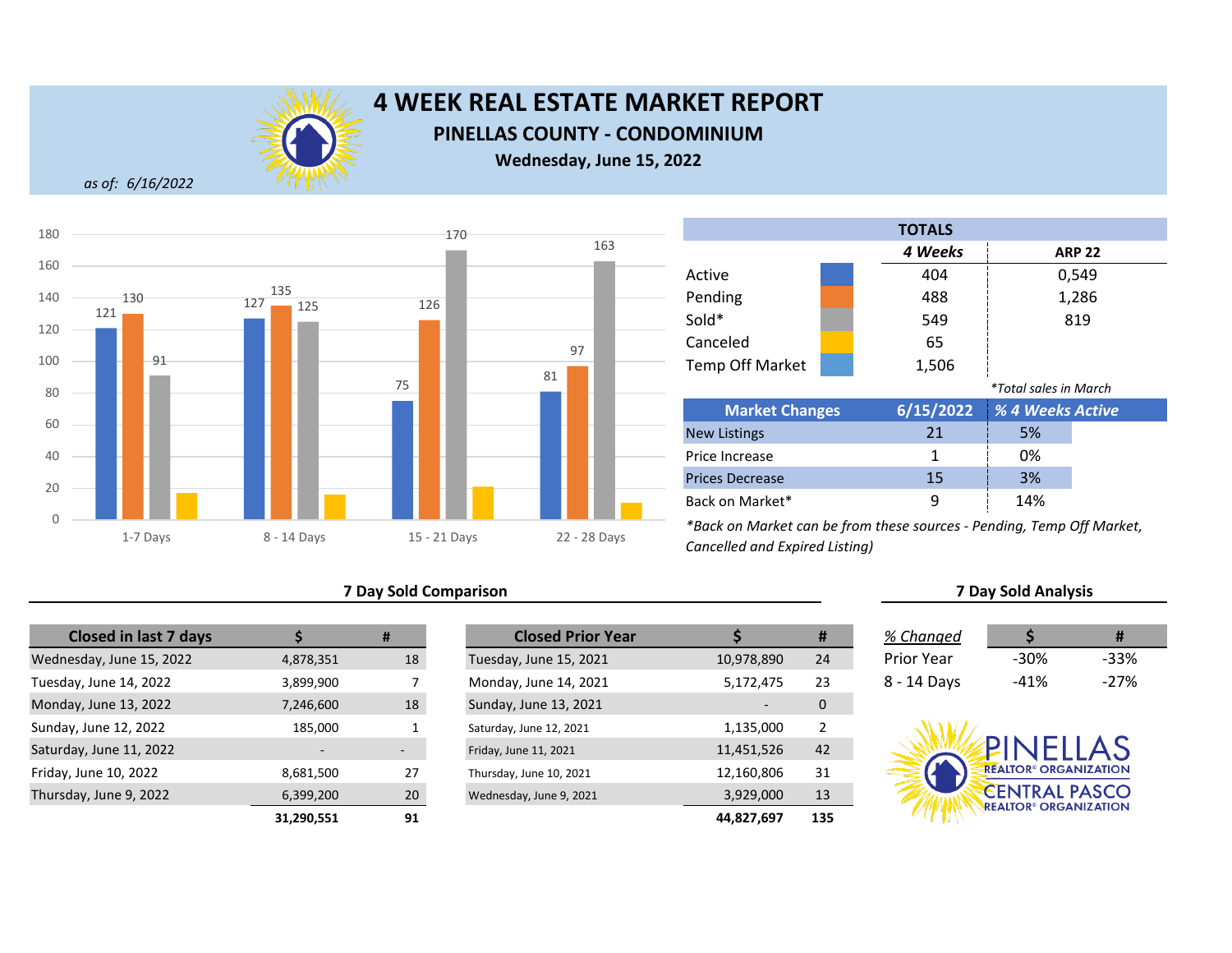

**PINELLAS COUNTY - CONDOMINIUM**

**Wednesday, June 15, 2022**

*as of: 6/16/2022*



## **7 Day Sold Comparison 7 Day Sold Analysis**

| <b>Closed in last 7 days</b> |                          | #  | <b>Closed Prior Year</b> |  |
|------------------------------|--------------------------|----|--------------------------|--|
| Wednesday, June 15, 2022     | 4,878,351                | 18 | Tuesday, June 15, 2021   |  |
| Tuesday, June 14, 2022       | 3,899,900                |    | Monday, June 14, 2021    |  |
| Monday, June 13, 2022        | 7,246,600                | 18 | Sunday, June 13, 2021    |  |
| Sunday, June 12, 2022        | 185,000                  |    | Saturday, June 12, 2021  |  |
| Saturday, June 11, 2022      | $\overline{\phantom{0}}$ |    | Friday, June 11, 2021    |  |
| Friday, June 10, 2022        | 8,681,500                | 27 | Thursday, June 10, 2021  |  |
| Thursday, June 9, 2022       | 6,399,200                | 20 | Wednesday, June 9, 2021  |  |
|                              | 31.290.551               | 91 |                          |  |

|            | #                        | <b>Closed Prior Year</b> |            | #   | % Changed         |                                         | #      |
|------------|--------------------------|--------------------------|------------|-----|-------------------|-----------------------------------------|--------|
| 4,878,351  | 18                       | Tuesday, June 15, 2021   | 10,978,890 | 24  | <b>Prior Year</b> | $-30%$                                  | $-33%$ |
| 3,899,900  |                          | Monday, June 14, 2021    | 5,172,475  | 23  | 8 - 14 Days       | -41%                                    | $-27%$ |
| 7,246,600  | 18                       | Sunday, June 13, 2021    |            | 0   |                   |                                         |        |
| 185,000    |                          | Saturday, June 12, 2021  | 1,135,000  | 2   |                   |                                         |        |
|            | $\overline{\phantom{a}}$ | Friday, June 11, 2021    | 11,451,526 | 42  |                   | PINELLAS                                |        |
| 8,681,500  | 27                       | Thursday, June 10, 2021  | 12,160,806 | 31  |                   | <b>REALTOR® ORGANIZATION</b>            |        |
| 6,399,200  | 20                       | Wednesday, June 9, 2021  | 3,929,000  | 13  |                   | <b>CENTRAL PASCO</b>                    |        |
| 31,290,551 | 91                       |                          | 44,827,697 | 135 |                   | <b>REALTOR<sup>®</sup> ORGANIZATION</b> |        |

| <b>TOTALS</b>          |  |           |                       |               |  |  |
|------------------------|--|-----------|-----------------------|---------------|--|--|
|                        |  | 4 Weeks   |                       | <b>ARP 22</b> |  |  |
| Active                 |  | 404       |                       | 0,549         |  |  |
| Pending                |  | 488       |                       | 1,286         |  |  |
| Sold*                  |  | 549       |                       | 819           |  |  |
| Canceled               |  | 65        |                       |               |  |  |
| <b>Temp Off Market</b> |  | 1,506     |                       |               |  |  |
|                        |  |           | *Total sales in March |               |  |  |
| <b>Market Changes</b>  |  | 6/15/2022 | % 4 Weeks Active      |               |  |  |
| <b>New Listings</b>    |  | 21        | 5%                    |               |  |  |
| Price Increase         |  | 1         | 0%                    |               |  |  |
| <b>Prices Decrease</b> |  | 15        | 3%                    |               |  |  |
| Back on Market*        |  | 9         | 14%                   |               |  |  |

| % Changed   |      | #      |  |
|-------------|------|--------|--|
| Prior Year  | -30% | -33%   |  |
| 8 - 14 Days | -41% | $-27%$ |  |

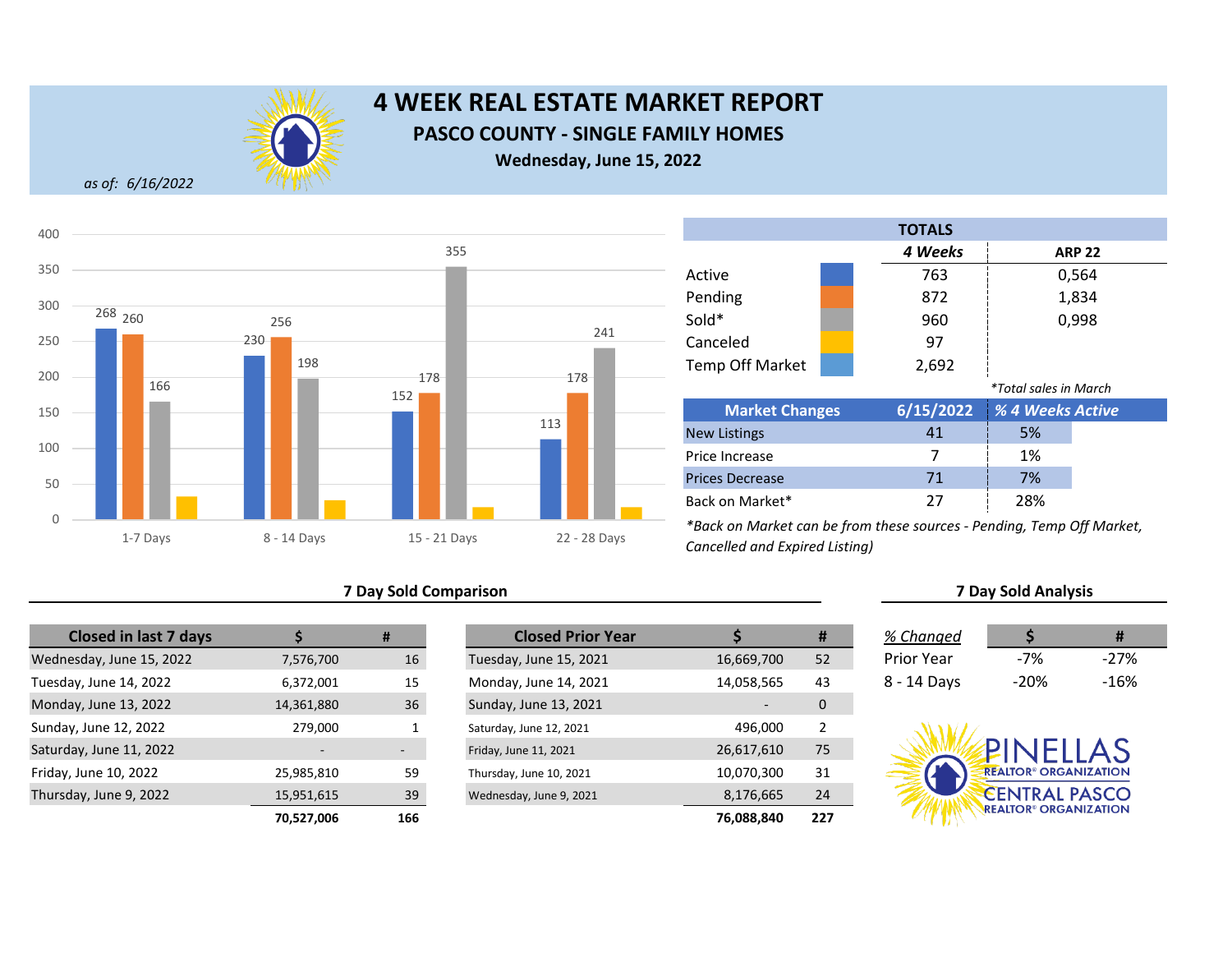

# **4 WEEK REAL ESTATE MARKET REPORT PASCO COUNTY - SINGLE FAMILY HOMES Wednesday, June 15, 2022**

*as of: 6/16/2022*



## **7 Day Sold Comparison 7 Day Sold Analysis**

| <b>Closed in last 7 days</b> |                          | #   | <b>Closed Prior Year</b> |  |
|------------------------------|--------------------------|-----|--------------------------|--|
| Wednesday, June 15, 2022     | 7,576,700                | 16  | Tuesday, June 15, 2021   |  |
| Tuesday, June 14, 2022       | 6,372,001                | 15  | Monday, June 14, 2021    |  |
| Monday, June 13, 2022        | 14,361,880               | 36  | Sunday, June 13, 2021    |  |
| Sunday, June 12, 2022        | 279,000                  | 1   | Saturday, June 12, 2021  |  |
| Saturday, June 11, 2022      | $\overline{\phantom{0}}$ |     | Friday, June 11, 2021    |  |
| Friday, June 10, 2022        | 25,985,810               | 59  | Thursday, June 10, 2021  |  |
| Thursday, June 9, 2022       | 15,951,615               | 39  | Wednesday, June 9, 2021  |  |
|                              | 70.527.006               | 166 |                          |  |

|            | #   | <b>Closed Prior Year</b> |            | #              | % Changed         |                                         | Ħ      |
|------------|-----|--------------------------|------------|----------------|-------------------|-----------------------------------------|--------|
| 7,576,700  | 16  | Tuesday, June 15, 2021   | 16,669,700 | 52             | <b>Prior Year</b> | $-7%$                                   | $-27%$ |
| 6,372,001  | 15  | Monday, June 14, 2021    | 14,058,565 | 43             | 8 - 14 Days       | $-20%$                                  | $-16%$ |
| 14,361,880 | 36  | Sunday, June 13, 2021    |            | 0              |                   |                                         |        |
| 279,000    |     | Saturday, June 12, 2021  | 496.000    | $\overline{2}$ |                   |                                         |        |
|            |     | Friday, June 11, 2021    | 26,617,610 | 75             |                   | PINELLAS                                |        |
| 25,985,810 | 59  | Thursday, June 10, 2021  | 10,070,300 | 31             |                   | <b>REALTOR® ORGANIZATION</b>            |        |
| 15,951,615 | 39  | Wednesday, June 9, 2021  | 8,176,665  | 24             |                   | <b>CENTRAL PASCO</b>                    |        |
| 70,527,006 | 166 |                          | 76,088,840 | 227            |                   | <b>REALTOR<sup>®</sup> ORGANIZATION</b> |        |

|                        | <b>TOTALS</b> |                       |               |
|------------------------|---------------|-----------------------|---------------|
|                        | 4 Weeks       |                       | <b>ARP 22</b> |
| Active                 | 763           |                       | 0,564         |
| Pending                | 872           |                       | 1,834         |
| Sold*                  | 960           |                       | 0,998         |
| Canceled               | 97            |                       |               |
| <b>Temp Off Market</b> | 2,692         |                       |               |
|                        |               | *Total sales in March |               |
| <b>Market Changes</b>  | 6/15/2022     | % 4 Weeks Active      |               |
| <b>New Listings</b>    | 41            | 5%                    |               |
| Price Increase         | 7             | 1%                    |               |
| <b>Prices Decrease</b> | 71            | 7%                    |               |
| Back on Market*        | 27            | 28%                   |               |

| % Changed   | S     | Ħ      |
|-------------|-------|--------|
| Prior Year  | $-7%$ | $-27%$ |
| 3 - 14 Days | -20%  | -16%   |

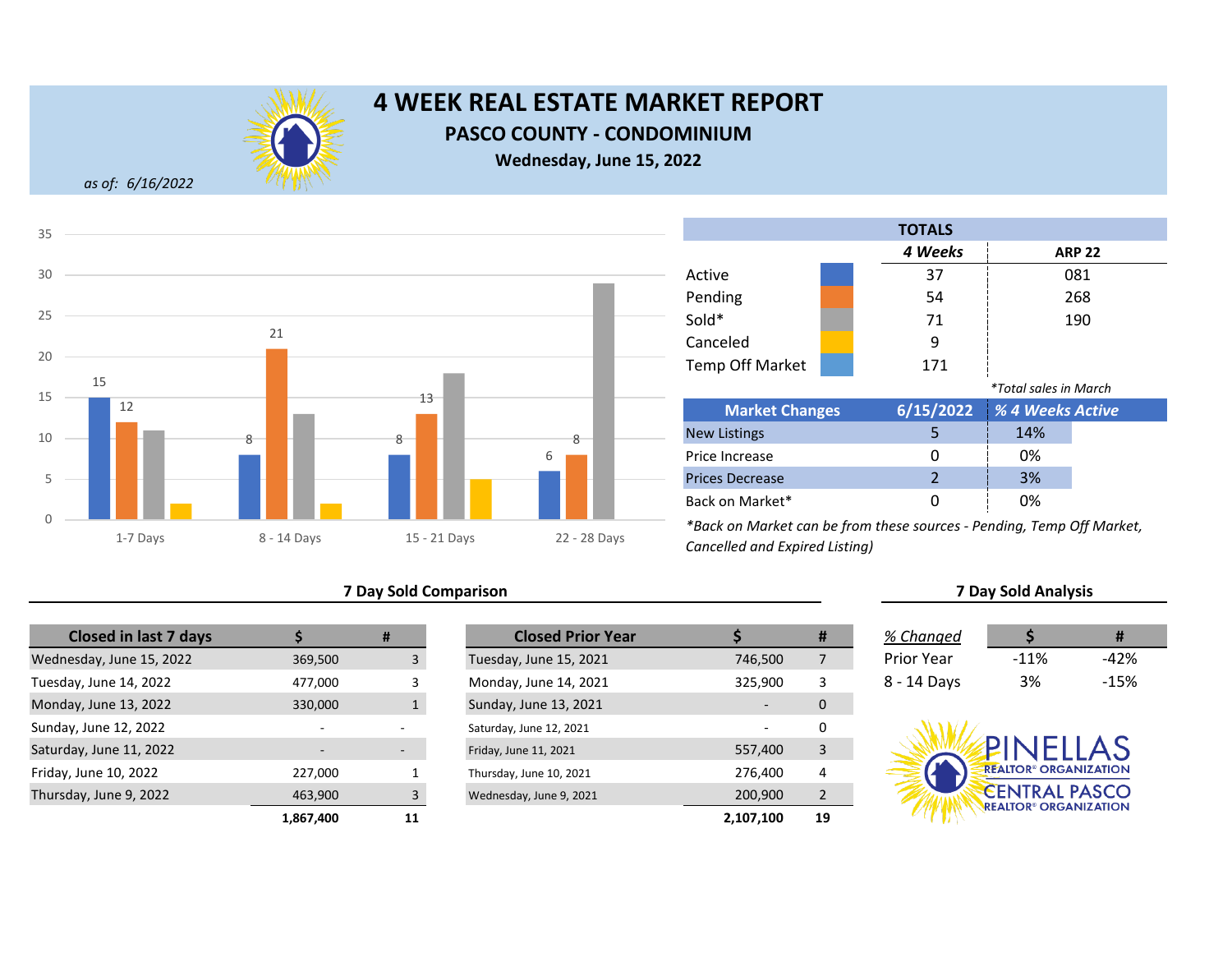

**PASCO COUNTY - CONDOMINIUM**

**Wednesday, June 15, 2022**

*as of: 6/16/2022*



## **7 Day Sold Comparison 7 Day Sold Analysis**

| <b>Closed in last 7 days</b> |           | #            | <b>Closed Prior Year</b> |
|------------------------------|-----------|--------------|--------------------------|
| Wednesday, June 15, 2022     | 369,500   |              | Tuesday, June 15, 2021   |
| Tuesday, June 14, 2022       | 477,000   | 3            | Monday, June 14, 2021    |
| Monday, June 13, 2022        | 330,000   | $\mathbf{1}$ | Sunday, June 13, 2021    |
| Sunday, June 12, 2022        |           |              | Saturday, June 12, 2021  |
| Saturday, June 11, 2022      |           |              | Friday, June 11, 2021    |
| Friday, June 10, 2022        | 227,000   |              | Thursday, June 10, 2021  |
| Thursday, June 9, 2022       | 463,900   | 3            | Wednesday, June 9, 2021  |
|                              | 1,867,400 | 11           |                          |

|           | #  | <b>Closed Prior Year</b> |           | #              | % Changed         |                                         | #      |
|-----------|----|--------------------------|-----------|----------------|-------------------|-----------------------------------------|--------|
| 369,500   |    | Tuesday, June 15, 2021   | 746,500   | 7              | <b>Prior Year</b> | $-11%$                                  | $-42%$ |
| 477,000   |    | Monday, June 14, 2021    | 325,900   | 3              | 8 - 14 Days       | 3%                                      | $-15%$ |
| 330,000   |    | Sunday, June 13, 2021    |           | 0              |                   |                                         |        |
| $\sim$    |    | Saturday, June 12, 2021  |           | 0              |                   |                                         |        |
|           | ۰. | Friday, June 11, 2021    | 557,400   | 3              |                   | <b>PINFILAS</b>                         |        |
| 227,000   |    | Thursday, June 10, 2021  | 276,400   | 4              |                   | <b>REALTOR® ORGANIZATION</b>            |        |
| 463,900   |    | Wednesday, June 9, 2021  | 200,900   | $\overline{2}$ |                   | <b>CENTRAL PASCO</b>                    |        |
| 1,867,400 | 11 |                          | 2,107,100 | 19             |                   | <b>REALTOR<sup>®</sup> ORGANIZATION</b> |        |

Prices Decrease Back on Market\*

|                        |  | <b>TOTALS</b> |                              |               |
|------------------------|--|---------------|------------------------------|---------------|
|                        |  | 4 Weeks       |                              | <b>ARP 22</b> |
| Active                 |  | 37            |                              | 081           |
| Pending                |  | 54            |                              | 268           |
| Sold*                  |  | 71            |                              | 190           |
| Canceled               |  | 9             |                              |               |
| <b>Temp Off Market</b> |  | 171           |                              |               |
|                        |  |               | <i>*Total sales in March</i> |               |
| <b>Market Changes</b>  |  | 6/15/2022     | % 4 Weeks Active             |               |
| <b>New Listings</b>    |  | 5             | 14%                          |               |
| Price Increase         |  | በ             | 0%                           |               |

*\*Back on Market can be from these sources - Pending, Temp Off Market, Cancelled and Expired Listing)*

2 3% 0 0%

| v changca              |        |      |
|------------------------|--------|------|
| <sup>o</sup> rior Year | $-11%$ | -42% |
| 3 - 14 Days            | 3%     | -15% |

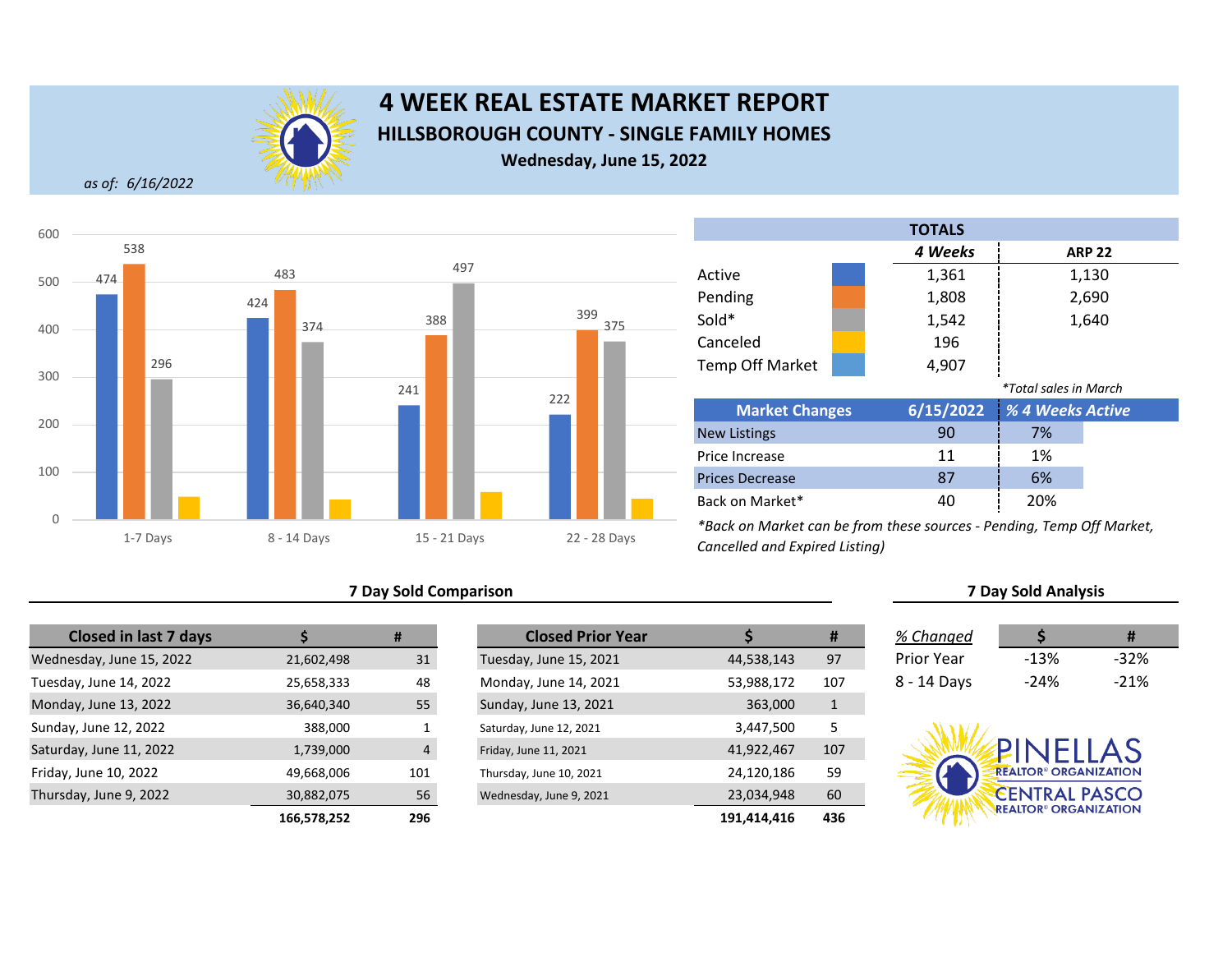

# **4 WEEK REAL ESTATE MARKET REPORT HILLSBOROUGH COUNTY - SINGLE FAMILY HOMES Wednesday, June 15, 2022**

*as of: 6/16/2022*



## **7 Day Sold Comparison 7 Day Sold Analysis**

| <b>Closed in last 7 days</b> |             | #              | <b>Closed Prior Year</b> |             |
|------------------------------|-------------|----------------|--------------------------|-------------|
| Wednesday, June 15, 2022     | 21,602,498  | 31             | Tuesday, June 15, 2021   | 44,538,143  |
| Tuesday, June 14, 2022       | 25,658,333  | 48             | Monday, June 14, 2021    | 53,988,172  |
| Monday, June 13, 2022        | 36,640,340  | 55             | Sunday, June 13, 2021    | 363,000     |
| Sunday, June 12, 2022        | 388,000     | 1              | Saturday, June 12, 2021  | 3,447,500   |
| Saturday, June 11, 2022      | 1,739,000   | $\overline{4}$ | Friday, June 11, 2021    | 41,922,467  |
| Friday, June 10, 2022        | 49,668,006  | 101            | Thursday, June 10, 2021  | 24,120,186  |
| Thursday, June 9, 2022       | 30,882,075  | 56             | Wednesday, June 9, 2021  | 23,034,948  |
|                              | 166,578,252 | 296            |                          | 191,414,416 |

|             | #              | <b>Closed Prior Year</b> |             | #   | % Changed   |                                         | #      |
|-------------|----------------|--------------------------|-------------|-----|-------------|-----------------------------------------|--------|
| 21,602,498  | 31             | Tuesday, June 15, 2021   | 44,538,143  | 97  | Prior Year  | $-13%$                                  | $-32%$ |
| 25,658,333  | 48             | Monday, June 14, 2021    | 53,988,172  | 107 | 8 - 14 Days | $-24%$                                  | $-21%$ |
| 36,640,340  | 55             | Sunday, June 13, 2021    | 363,000     | 1   |             |                                         |        |
| 388,000     |                | Saturday, June 12, 2021  | 3,447,500   | 5   |             |                                         |        |
| 1,739,000   | $\overline{4}$ | Friday, June 11, 2021    | 41,922,467  | 107 |             | PINELLAS                                |        |
| 49,668,006  | 101            | Thursday, June 10, 2021  | 24,120,186  | 59  |             | <b>REALTOR® ORGANIZATION</b>            |        |
| 30,882,075  | 56             | Wednesday, June 9, 2021  | 23,034,948  | 60  |             | <b>CENTRAL PASCO</b>                    |        |
| 166,578,252 | 296            |                          | 191,414,416 | 436 |             | <b>REALTOR<sup>®</sup> ORGANIZATION</b> |        |

|                              |  | <b>TOTALS</b> |                          |  |
|------------------------------|--|---------------|--------------------------|--|
|                              |  | 4 Weeks       | <b>ARP 22</b>            |  |
| Active                       |  | 1,361         | 1,130                    |  |
| Pending                      |  | 1,808         | 2,690                    |  |
| Sold*                        |  | 1,542         | 1,640                    |  |
| Canceled                     |  | 196           |                          |  |
| Temp Off Market              |  | 4,907         |                          |  |
| <i>*Total sales in March</i> |  |               |                          |  |
| <b>Market Changes</b>        |  | 6/15/2022     | <b>1% 4 Weeks Active</b> |  |

| <b>Market Changes</b>  |    | 6/15/2022 % 4 Weeks Active |  |
|------------------------|----|----------------------------|--|
| <b>New Listings</b>    | 90 | 7%                         |  |
| Price Increase         | 11 | 1%                         |  |
| <b>Prices Decrease</b> | 87 | 6%                         |  |
| Back on Market*        | 40 | 20%                        |  |

| % Changed         |        | #      |
|-------------------|--------|--------|
| <b>Prior Year</b> | -13%   | $-32%$ |
| 8 - 14 Days       | $-24%$ | $-21%$ |

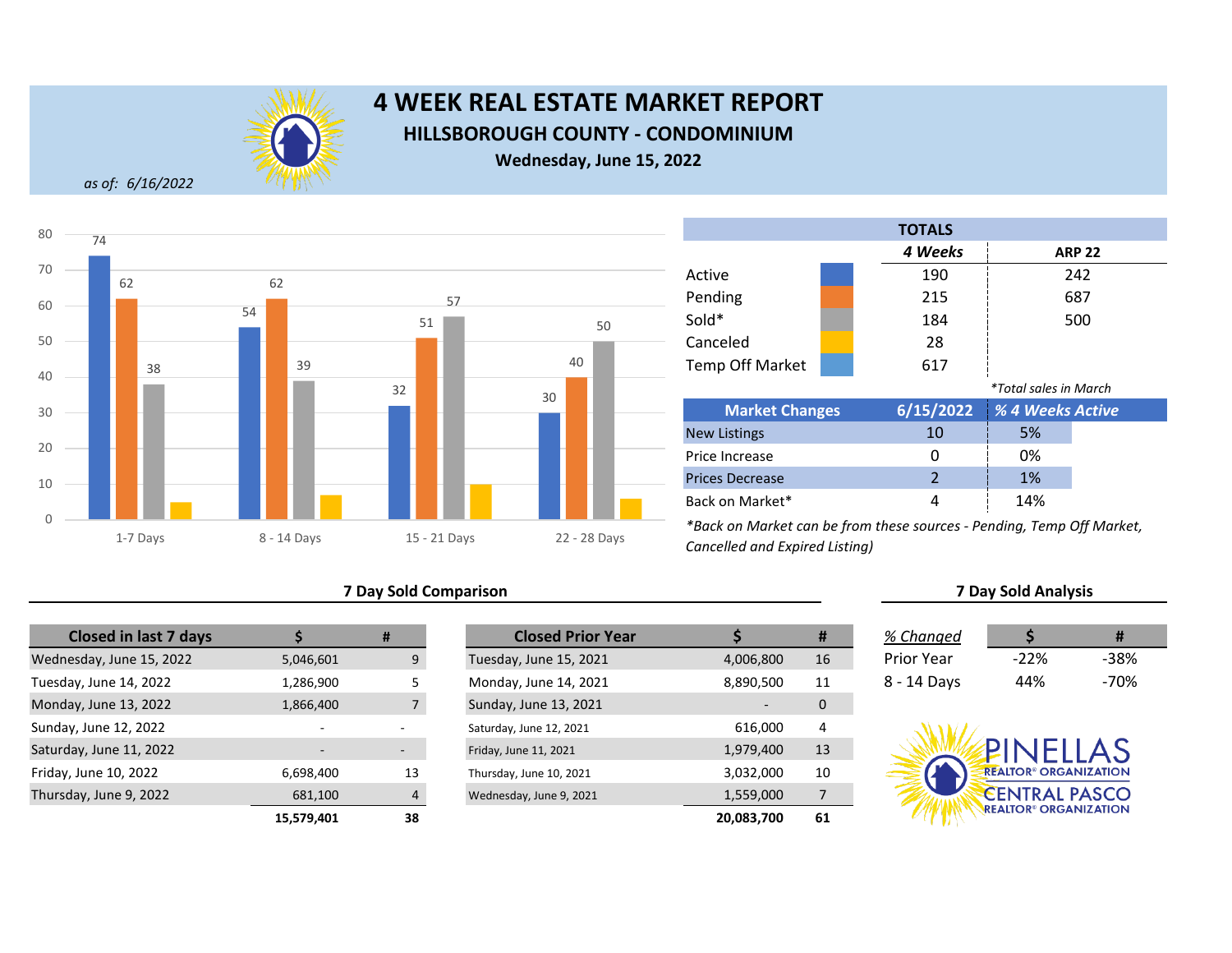

## **4 WEEK REAL ESTATE MARKET REPORT HILLSBOROUGH COUNTY - CONDOMINIUM**

**Wednesday, June 15, 2022**

*as of: 6/16/2022*



## **7 Day Sold Comparison 7 Day Sold Analysis**

| <b>Closed in last 7 days</b> |                          | #              | <b>Closed Prior Year</b> |            |
|------------------------------|--------------------------|----------------|--------------------------|------------|
| Wednesday, June 15, 2022     | 5,046,601                | 9              | Tuesday, June 15, 2021   | 4,006,800  |
| Tuesday, June 14, 2022       | 1,286,900                | 5              | Monday, June 14, 2021    | 8,890,500  |
| Monday, June 13, 2022        | 1,866,400                | $\overline{7}$ | Sunday, June 13, 2021    |            |
| Sunday, June 12, 2022        | $\overline{\phantom{0}}$ |                | Saturday, June 12, 2021  | 616,000    |
| Saturday, June 11, 2022      |                          | -              | Friday, June 11, 2021    | 1,979,400  |
| Friday, June 10, 2022        | 6,698,400                | 13             | Thursday, June 10, 2021  | 3,032,000  |
| Thursday, June 9, 2022       | 681,100                  | 4              | Wednesday, June 9, 2021  | 1,559,000  |
|                              | 15.579.401               | 38             |                          | 20,083,700 |

|            | #                        | <b>Closed Prior Year</b> |            | #  | % Changed         |                                         | #      |
|------------|--------------------------|--------------------------|------------|----|-------------------|-----------------------------------------|--------|
| 5,046,601  | 9                        | Tuesday, June 15, 2021   | 4,006,800  | 16 | <b>Prior Year</b> | $-22%$                                  | $-38%$ |
| 1,286,900  |                          | Monday, June 14, 2021    | 8,890,500  | 11 | 8 - 14 Days       | 44%                                     | $-70%$ |
| 1,866,400  |                          | Sunday, June 13, 2021    |            | 0  |                   |                                         |        |
|            |                          | Saturday, June 12, 2021  | 616,000    | 4  |                   |                                         |        |
|            | $\overline{\phantom{a}}$ | Friday, June 11, 2021    | 1,979,400  | 13 |                   | PINFIIAS                                |        |
| 6,698,400  | 13                       | Thursday, June 10, 2021  | 3,032,000  | 10 |                   | <b>REALTOR® ORGANIZATION</b>            |        |
| 681,100    | $\Lambda$                | Wednesday, June 9, 2021  | 1,559,000  | 7  |                   | <b>CENTRAL PASCO</b>                    |        |
| 15,579,401 | 38                       |                          | 20,083,700 | 61 |                   | <b>REALTOR<sup>®</sup> ORGANIZATION</b> |        |

Back on Market\*

|                        | <b>TOTALS</b> |                              |               |  |
|------------------------|---------------|------------------------------|---------------|--|
|                        | 4 Weeks       |                              | <b>ARP 22</b> |  |
| Active                 | 190           |                              | 242           |  |
| Pending                | 215           |                              | 687           |  |
| Sold*                  | 184           |                              | 500           |  |
| Canceled               | 28            |                              |               |  |
| <b>Temp Off Market</b> | 617           |                              |               |  |
|                        |               | <i>*Total sales in March</i> |               |  |
| <b>Market Changes</b>  | 6/15/2022     | % 4 Weeks Active             |               |  |
| <b>New Listings</b>    | 10            | 5%                           |               |  |
| Price Increase         | 0             | 0%                           |               |  |
| <b>Prices Decrease</b> | 2             | 1%                           |               |  |

*\*Back on Market can be from these sources - Pending, Temp Off Market, Cancelled and Expired Listing)*

| % Changed         |         | #    |
|-------------------|---------|------|
| <b>Prior Year</b> | $-22\%$ | -38% |
| 8 - 14 Days       | 44%     | -70% |

4 14%

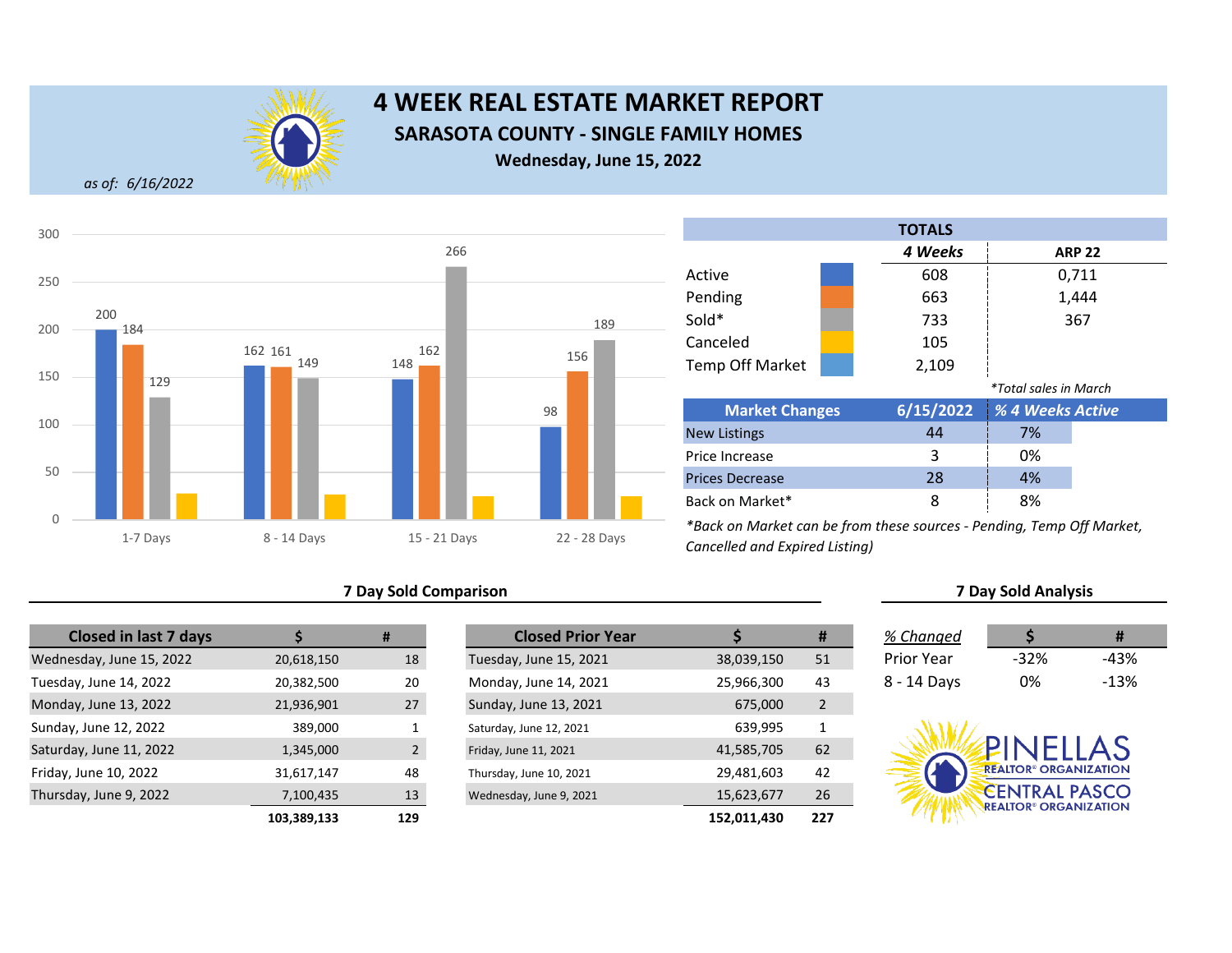

# **4 WEEK REAL ESTATE MARKET REPORT SARASOTA COUNTY - SINGLE FAMILY HOMES Wednesday, June 15, 2022**

*as of: 6/16/2022*



## **7 Day Sold Comparison 7 Day Sold Analysis**

| <b>Closed in last 7 days</b> |             | #              | <b>Closed Prior Year</b> |             |
|------------------------------|-------------|----------------|--------------------------|-------------|
| Wednesday, June 15, 2022     | 20,618,150  | 18             | Tuesday, June 15, 2021   | 38,039,150  |
| Tuesday, June 14, 2022       | 20,382,500  | 20             | Monday, June 14, 2021    | 25,966,300  |
| Monday, June 13, 2022        | 21,936,901  | 27             | Sunday, June 13, 2021    | 675,000     |
| Sunday, June 12, 2022        | 389,000     |                | Saturday, June 12, 2021  | 639,995     |
| Saturday, June 11, 2022      | 1,345,000   | $\overline{2}$ | Friday, June 11, 2021    | 41,585,705  |
| Friday, June 10, 2022        | 31,617,147  | 48             | Thursday, June 10, 2021  | 29,481,603  |
| Thursday, June 9, 2022       | 7,100,435   | 13             | Wednesday, June 9, 2021  | 15,623,677  |
|                              | 103.389.133 | 129            |                          | 152.011.430 |

|             | #              | <b>Closed Prior Year</b> |             | #              | % Changed   |                                         | Ħ      |
|-------------|----------------|--------------------------|-------------|----------------|-------------|-----------------------------------------|--------|
| 20,618,150  | 18             | Tuesday, June 15, 2021   | 38,039,150  | 51             | Prior Year  | $-32%$                                  | $-43%$ |
| 20,382,500  | 20             | Monday, June 14, 2021    | 25,966,300  | 43             | 8 - 14 Days | 0%                                      | $-13%$ |
| 21,936,901  | 27             | Sunday, June 13, 2021    | 675,000     | $\overline{2}$ |             |                                         |        |
| 389,000     |                | Saturday, June 12, 2021  | 639,995     | 1              |             |                                         |        |
| 1,345,000   | $\mathfrak{p}$ | Friday, June 11, 2021    | 41,585,705  | 62             |             | PINELLAS                                |        |
| 31,617,147  | 48             | Thursday, June 10, 2021  | 29,481,603  | 42             |             | <b>REALTOR® ORGANIZATION</b>            |        |
| 7,100,435   | 13             | Wednesday, June 9, 2021  | 15,623,677  | 26             |             | <b>CENTRAL PASCO</b>                    |        |
| 103,389,133 | 129            |                          | 152,011,430 | 227            |             | <b>REALTOR<sup>®</sup> ORGANIZATION</b> |        |

|                        |  | <b>TOTALS</b> |                              |       |  |
|------------------------|--|---------------|------------------------------|-------|--|
|                        |  | 4 Weeks       | <b>ARP 22</b>                |       |  |
| Active                 |  | 608           |                              | 0,711 |  |
| Pending                |  | 663           |                              | 1,444 |  |
| Sold*                  |  | 733           |                              | 367   |  |
| Canceled               |  | 105           |                              |       |  |
| <b>Temp Off Market</b> |  | 2,109         |                              |       |  |
|                        |  |               | <i>*Total sales in March</i> |       |  |
| <b>Market Changes</b>  |  | 6/15/2022     | % 4 Weeks Active             |       |  |
| <b>New Listings</b>    |  | 44            | 7%                           |       |  |
| Price Increase         |  | 3             | 0%                           |       |  |
| <b>Prices Decrease</b> |  | 28            | 4%                           |       |  |
| Back on Market*        |  | 8             | 8%                           |       |  |

| % Changed   |        | #      |
|-------------|--------|--------|
| Prior Year  | $-32%$ | -43%   |
| 8 - 14 Days | 0%     | $-13%$ |

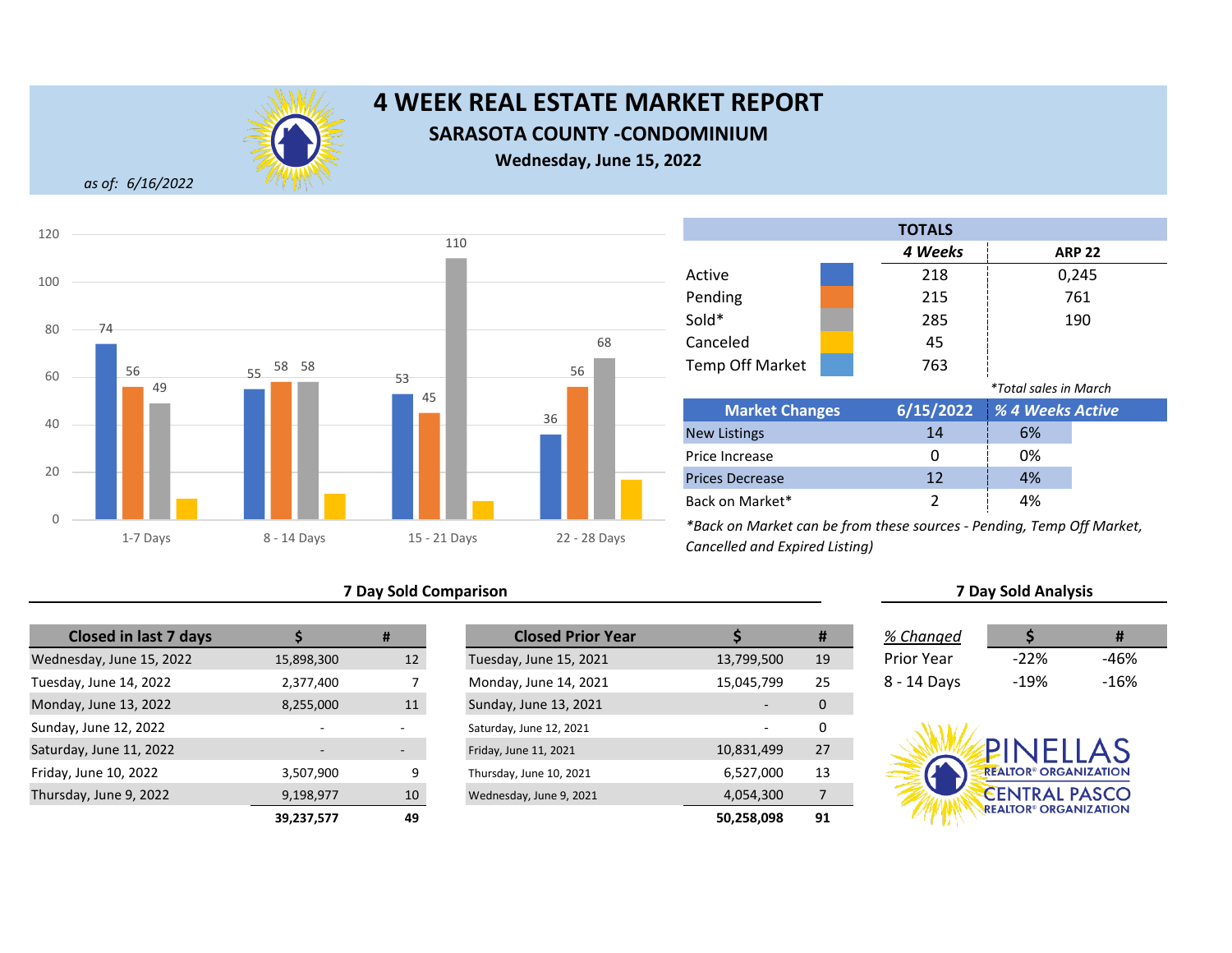

# **4 WEEK REAL ESTATE MARKET REPORT SARASOTA COUNTY -CONDOMINIUM**

**Wednesday, June 15, 2022**

*as of: 6/16/2022*



## **7 Day Sold Comparison 7 Day Sold Analysis**

| <b>Closed in last 7 days</b> |            | #               | <b>Closed Prior Year</b> |  |
|------------------------------|------------|-----------------|--------------------------|--|
| Wednesday, June 15, 2022     | 15,898,300 | 12 <sup>2</sup> | Tuesday, June 15, 2021   |  |
| Tuesday, June 14, 2022       | 2,377,400  |                 | Monday, June 14, 2021    |  |
| Monday, June 13, 2022        | 8,255,000  | 11              | Sunday, June 13, 2021    |  |
| Sunday, June 12, 2022        |            |                 | Saturday, June 12, 2021  |  |
| Saturday, June 11, 2022      |            |                 | Friday, June 11, 2021    |  |
| Friday, June 10, 2022        | 3,507,900  | 9               | Thursday, June 10, 2021  |  |
| Thursday, June 9, 2022       | 9,198,977  | 10              | Wednesday, June 9, 2021  |  |
|                              | 39,237,577 | 49              |                          |  |

|            | #  | <b>Closed Prior Year</b> |            | #  | % Changed         |                                         | #      |
|------------|----|--------------------------|------------|----|-------------------|-----------------------------------------|--------|
| 15,898,300 | 12 | Tuesday, June 15, 2021   | 13,799,500 | 19 | <b>Prior Year</b> | $-22%$                                  | $-46%$ |
| 2,377,400  |    | Monday, June 14, 2021    | 15,045,799 | 25 | 8 - 14 Days       | $-19%$                                  | $-16%$ |
| 8,255,000  | 11 | Sunday, June 13, 2021    |            | 0  |                   |                                         |        |
| $\sim$     |    | Saturday, June 12, 2021  |            | 0  |                   |                                         |        |
|            |    | Friday, June 11, 2021    | 10,831,499 | 27 |                   | PINELLAS                                |        |
| 3,507,900  | 9  | Thursday, June 10, 2021  | 6,527,000  | 13 |                   | <b>REALTOR® ORGANIZATION</b>            |        |
| 9,198,977  | 10 | Wednesday, June 9, 2021  | 4,054,300  |    |                   | <b>CENTRAL PASCO</b>                    |        |
| 39,237,577 | 49 |                          | 50,258,098 | 91 |                   | <b>REALTOR<sup>®</sup> ORGANIZATION</b> |        |

Back on Market\*

|                        |  | <b>TOTALS</b> |                              |               |
|------------------------|--|---------------|------------------------------|---------------|
|                        |  | 4 Weeks       |                              | <b>ARP 22</b> |
| Active                 |  | 218           |                              | 0,245         |
| Pending                |  | 215           |                              | 761           |
| Sold*                  |  | 285           |                              | 190           |
| Canceled               |  | 45            |                              |               |
| Temp Off Market        |  | 763           |                              |               |
|                        |  |               | <i>*Total sales in March</i> |               |
| <b>Market Changes</b>  |  | 6/15/2022     | % 4 Weeks Active             |               |
| <b>New Listings</b>    |  | 14            | 6%                           |               |
| Price Increase         |  | Ω             | 0%                           |               |
| <b>Prices Decrease</b> |  | 12            | 4%                           |               |

*\*Back on Market can be from these sources - Pending, Temp Off Market, Cancelled and Expired Listing)*

| % Changed   |         | Ħ    |
|-------------|---------|------|
| Prior Year  | $-22\%$ | -46% |
| 8 - 14 Days | $-19%$  | -16% |

2 4%

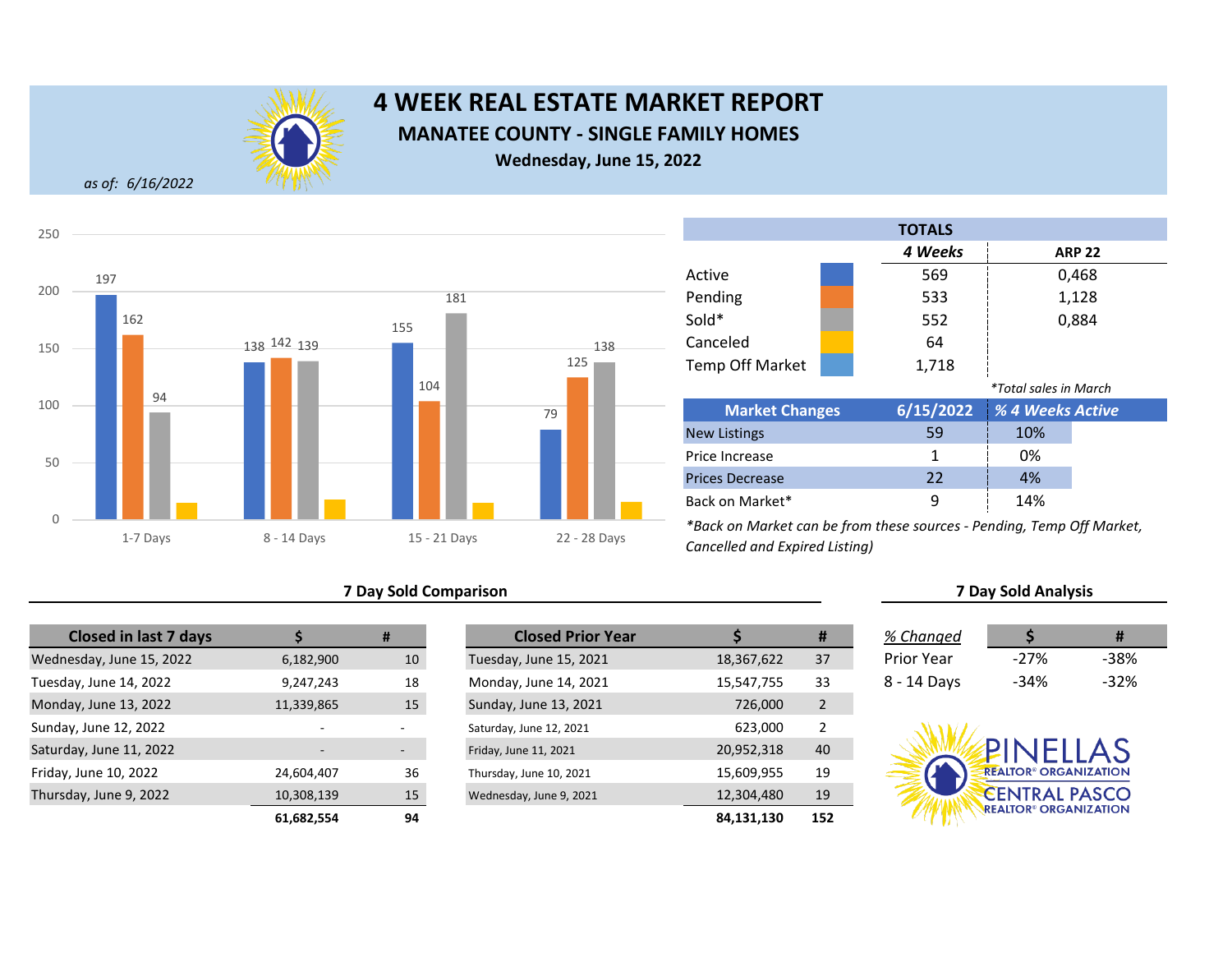

# **4 WEEK REAL ESTATE MARKET REPORT MANATEE COUNTY - SINGLE FAMILY HOMES Wednesday, June 15, 2022**

*as of: 6/16/2022*



## **7 Day Sold Comparison 7 Day Sold Analysis**

| <b>Closed in last 7 days</b> |            | #               | <b>Closed Prior Year</b> |  |
|------------------------------|------------|-----------------|--------------------------|--|
| Wednesday, June 15, 2022     | 6,182,900  | 10 <sup>°</sup> | Tuesday, June 15, 2021   |  |
| Tuesday, June 14, 2022       | 9,247,243  | 18              | Monday, June 14, 2021    |  |
| Monday, June 13, 2022        | 11,339,865 | 15              | Sunday, June 13, 2021    |  |
| Sunday, June 12, 2022        | ٠          |                 | Saturday, June 12, 2021  |  |
| Saturday, June 11, 2022      |            |                 | Friday, June 11, 2021    |  |
| Friday, June 10, 2022        | 24,604,407 | 36              | Thursday, June 10, 2021  |  |
| Thursday, June 9, 2022       | 10,308,139 | 15              | Wednesday, June 9, 2021  |  |
|                              | 61,682,554 | 94              |                          |  |

|            | #                        | <b>Closed Prior Year</b> |            | #              | % Changed   |                                         | #      |
|------------|--------------------------|--------------------------|------------|----------------|-------------|-----------------------------------------|--------|
| 6,182,900  | 10                       | Tuesday, June 15, 2021   | 18,367,622 | 37             | Prior Year  | $-27%$                                  | $-38%$ |
| 9,247,243  | 18                       | Monday, June 14, 2021    | 15,547,755 | 33             | 8 - 14 Days | -34%                                    | $-32%$ |
| 11,339,865 | 15                       | Sunday, June 13, 2021    | 726,000    | 2              |             |                                         |        |
| -          |                          | Saturday, June 12, 2021  | 623,000    | $\overline{2}$ |             |                                         |        |
|            | $\overline{\phantom{a}}$ | Friday, June 11, 2021    | 20,952,318 | 40             |             | <b>PINFILAS</b>                         |        |
| 24,604,407 | 36                       | Thursday, June 10, 2021  | 15,609,955 | 19             |             | <b>REALTOR® ORGANIZATION</b>            |        |
| 10,308,139 | 15                       | Wednesday, June 9, 2021  | 12,304,480 | 19             |             | <b>CENTRAL PASCO</b>                    |        |
| 61.682.554 | 94                       |                          | 84.131.130 | 152            |             | <b>REALTOR<sup>®</sup> ORGANIZATION</b> |        |

|                        |  | <b>TOTALS</b> |                              |               |  |
|------------------------|--|---------------|------------------------------|---------------|--|
|                        |  | 4 Weeks       |                              | <b>ARP 22</b> |  |
| Active                 |  | 569           |                              | 0,468         |  |
| Pending                |  | 533           |                              | 1,128         |  |
| Sold*                  |  | 552           |                              | 0,884         |  |
| Canceled               |  | 64            |                              |               |  |
| <b>Temp Off Market</b> |  | 1,718         |                              |               |  |
|                        |  |               | <i>*Total sales in March</i> |               |  |
| <b>Market Changes</b>  |  | 6/15/2022     | % 4 Weeks Active             |               |  |
| <b>New Listings</b>    |  | 59            | 10%                          |               |  |
| Price Increase         |  | 1             | 0%                           |               |  |
| <b>Prices Decrease</b> |  | 22            | 4%                           |               |  |
| Back on Market*        |  | 9             | 14%                          |               |  |

| % Changed   |        | Ħ    |
|-------------|--------|------|
| Prior Year  | $-27%$ | -38% |
| 8 - 14 Days | -34%   | -32% |